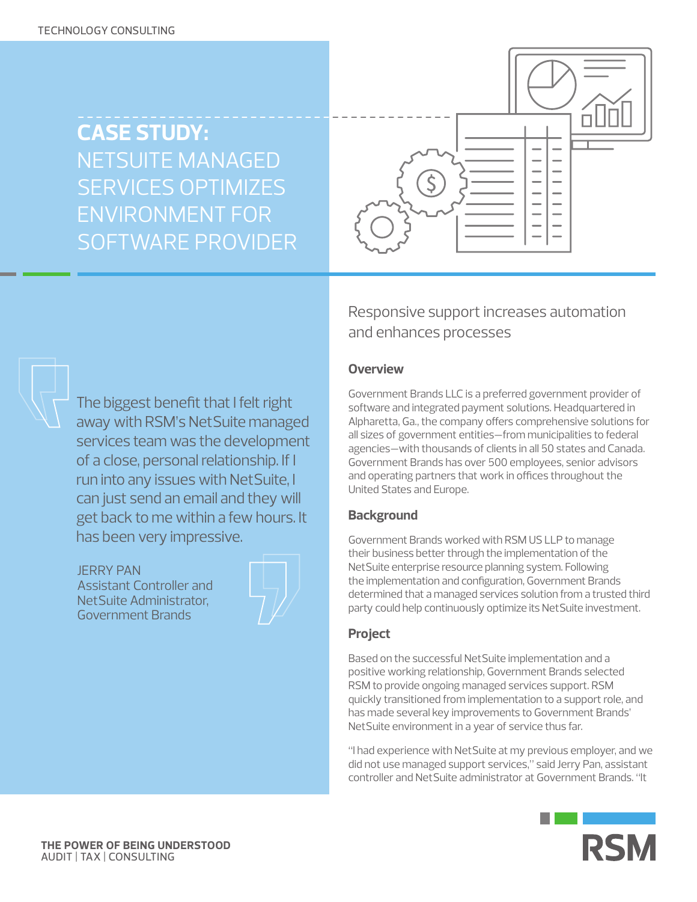# **CASE STUDY:**  NETSUITE MANAGED SERVICES OPTIMIZES ENVIRONMENT FOR SOFTWARE PROVIDER



## Responsive support increases automation and enhances processes

#### **Overview**

Government Brands LLC is a preferred government provider of software and integrated payment solutions. Headquartered in Alpharetta, Ga., the company offers comprehensive solutions for all sizes of government entities—from municipalities to federal agencies—with thousands of clients in all 50 states and Canada. Government Brands has over 500 employees, senior advisors and operating partners that work in offices throughout the United States and Europe.

#### **Background**

Government Brands worked with RSM US LLP to manage their business better through the implementation of the NetSuite enterprise resource planning system. Following the implementation and configuration, Government Brands determined that a managed services solution from a trusted third party could help continuously optimize its NetSuite investment.

### **Project**

Based on the successful NetSuite implementation and a positive working relationship, Government Brands selected RSM to provide ongoing managed services support. RSM quickly transitioned from implementation to a support role, and has made several key improvements to Government Brands' NetSuite environment in a year of service thus far.

"I had experience with NetSuite at my previous employer, and we did not use managed support services," said Jerry Pan, assistant controller and NetSuite administrator at Government Brands. "It



The biggest benefit that I felt right away with RSM's NetSuite managed services team was the development of a close, personal relationship. If I run into any issues with NetSuite, I can just send an email and they will get back to me within a few hours. It has been very impressive.

JERRY PAN Assistant Controller and NetSuite Administrator, Government Brands